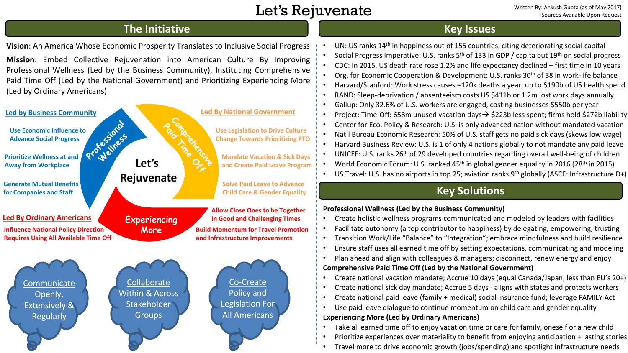# Let's Rejuvenate

Written By: Ankush Gupta (as of May 2017) Sources Available Upon Request

## **The Initiative**

**Vision**: An America Whose Economic Prosperity Translates to Inclusive Social Progress

**Mission**: Embed Collective Rejuvenation into American Culture By Improving Professional Wellness (Led by the Business Community), Instituting Comprehensive Paid Time Off (Led by the National Government) and Prioritizing Experiencing More (Led by Ordinary Americans)



## **Key Issues**

UN: US ranks  $14<sup>th</sup>$  in happiness out of 155 countries, citing deteriorating social capital Social Progress Imperative: U.S. ranks  $5<sup>th</sup>$  of 133 in GDP / capita but 19<sup>th</sup> on social progress CDC: In 2015, US death rate rose 1.2% and life expectancy declined – first time in 10 years • Org. for Economic Cooperation & Development: U.S. ranks  $30<sup>th</sup>$  of 38 in work-life balance • Harvard/Stanford: Work stress causes  $\sim$ 120k deaths a vear; up to \$190b of US health spend • RAND: Sleep-deprivation / absenteeism costs US \$411b or 1.2m lost work days annually • Gallup: Only 32.6% of U.S. workers are engaged, costing businesses \$550b per year • Project: Time-Off: 658m unused vacation days $\rightarrow$  \$223b less spent; firms hold \$272b liability • Center for Eco. Policy & Research: U.S. is only advanced nation without mandated vacation • Nat'l Bureau Economic Research: 50% of U.S. staff gets no paid sick days (skews low wage) • Harvard Business Review: U.S. is 1 of only 4 nations globally to not mandate any paid leave • UNICEF: U.S. ranks 26<sup>th</sup> of 29 developed countries regarding overall well-being of children World Economic Forum: U.S. ranked  $45<sup>th</sup>$  in global gender equality in 2016 (28<sup>th</sup> in 2015) • US Travel: U.S. has no airports in top 25; aviation ranks  $9<sup>th</sup>$  globally (ASCE: Infrastructure D+)

# **Key Solutions**

### **Professional Wellness (Led by the Business Community)**

- Create holistic wellness programs communicated and modeled by leaders with facilities
- Facilitate autonomy (a top contributor to happiness) by delegating, empowering, trusting
- Transition Work/Life "Balance" to "Integration"; embrace mindfulness and build resilience
- Ensure staff uses all earned time off by setting expectations, communicating and modeling
- Plan ahead and align with colleagues & managers; disconnect, renew energy and enjoy **Comprehensive Paid Time Off (Led by the National Government)**
- Create national vacation mandate; Accrue 10 days (equal Canada/Japan, less than EU's 20+)
- Create national sick day mandate; Accrue 5 days aligns with states and protects workers
- Create national paid leave (family + medical) social insurance fund; leverage FAMILY Act
- Use paid leave dialogue to continue momentum on child care and gender equality

### **Experiencing More (Led by Ordinary Americans)**

- Take all earned time off to enjoy vacation time or care for family, oneself or a new child
- Prioritize experiences over materiality to benefit from enjoying anticipation + lasting stories
- Travel more to drive economic growth (jobs/spending) and spotlight infrastructure needs